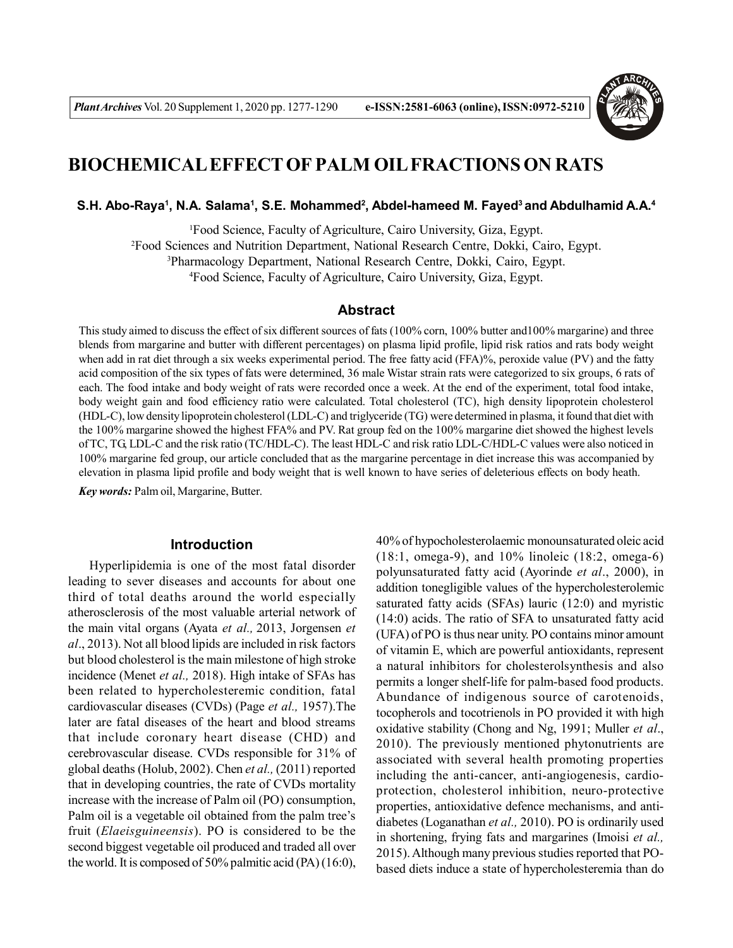

# **BIOCHEMICAL EFFECT OF PALM OIL FRACTIONS ON RATS**

**S.H. Abo-Raya<sup>1</sup> , N.A. Salama<sup>1</sup> , S.E. Mohammed<sup>2</sup> , Abdel-hameed M. Fayed<sup>3</sup>and Abdulhamid A.A.<sup>4</sup>**

Food Science, Faculty of Agriculture, Cairo University, Giza, Egypt. Food Sciences and Nutrition Department, National Research Centre, Dokki, Cairo, Egypt. Pharmacology Department, National Research Centre, Dokki, Cairo, Egypt. Food Science, Faculty of Agriculture, Cairo University, Giza, Egypt.

# **Abstract**

This study aimed to discuss the effect of six different sources of fats (100% corn, 100% butter and100% margarine) and three blends from margarine and butter with different percentages) on plasma lipid profile, lipid risk ratios and rats body weight when add in rat diet through a six weeks experimental period. The free fatty acid (FFA)%, peroxide value (PV) and the fatty acid composition of the six types of fats were determined, 36 male Wistar strain rats were categorized to six groups, 6 rats of each. The food intake and body weight of rats were recorded once a week. At the end of the experiment, total food intake, body weight gain and food efficiency ratio were calculated. Total cholesterol (TC), high density lipoprotein cholesterol (HDL-C), low density lipoprotein cholesterol (LDL-C) and triglyceride (TG) were determined in plasma, it found that diet with the 100% margarine showed the highest FFA% and PV. Rat group fed on the 100% margarine diet showed the highest levels of TC, TG, LDL-C and the risk ratio (TC/HDL-C). The least HDL-C and risk ratio LDL-C/HDL-C values were also noticed in 100% margarine fed group, our article concluded that as the margarine percentage in diet increase this was accompanied by elevation in plasma lipid profile and body weight that is well known to have series of deleterious effects on body heath. *Key words:* Palm oil, Margarine, Butter.

## **Introduction**

Hyperlipidemia is one of the most fatal disorder leading to sever diseases and accounts for about one third of total deaths around the world especially atherosclerosis of the most valuable arterial network of the main vital organs (Ayata *et al.,* 2013, Jorgensen *et al*., 2013). Not all blood lipids are included in risk factors but blood cholesterol is the main milestone of high stroke incidence (Menet *et al.,* 2018). High intake of SFAs has been related to hypercholesteremic condition, fatal cardiovascular diseases (CVDs) (Page *et al.,* 1957).The later are fatal diseases of the heart and blood streams that include coronary heart disease (CHD) and cerebrovascular disease. CVDs responsible for 31% of global deaths (Holub, 2002). Chen *et al.,* (2011) reported that in developing countries, the rate of CVDs mortality increase with the increase of Palm oil (PO) consumption, Palm oil is a vegetable oil obtained from the palm tree's fruit (*Elaeisguineensis*). PO is considered to be the second biggest vegetable oil produced and traded all over the world. It is composed of 50% palmitic acid (PA) (16:0),

40% of hypocholesterolaemic monounsaturated oleic acid (18:1, omega-9), and 10% linoleic (18:2, omega-6) polyunsaturated fatty acid (Ayorinde *et al*., 2000), in addition tonegligible values of the hypercholesterolemic saturated fatty acids (SFAs) lauric (12:0) and myristic (14:0) acids. The ratio of SFA to unsaturated fatty acid (UFA) of PO is thus near unity. PO contains minor amount of vitamin E, which are powerful antioxidants, represent a natural inhibitors for cholesterolsynthesis and also permits a longer shelf-life for palm-based food products. Abundance of indigenous source of carotenoids, tocopherols and tocotrienols in PO provided it with high oxidative stability (Chong and Ng, 1991; Muller *et al*., 2010). The previously mentioned phytonutrients are associated with several health promoting properties including the anti-cancer, anti-angiogenesis, cardioprotection, cholesterol inhibition, neuro-protective properties, antioxidative defence mechanisms, and antidiabetes (Loganathan *et al.,* 2010). PO is ordinarily used in shortening, frying fats and margarines (Imoisi *et al.,* 2015). Although many previous studies reported that PObased diets induce a state of hypercholesteremia than do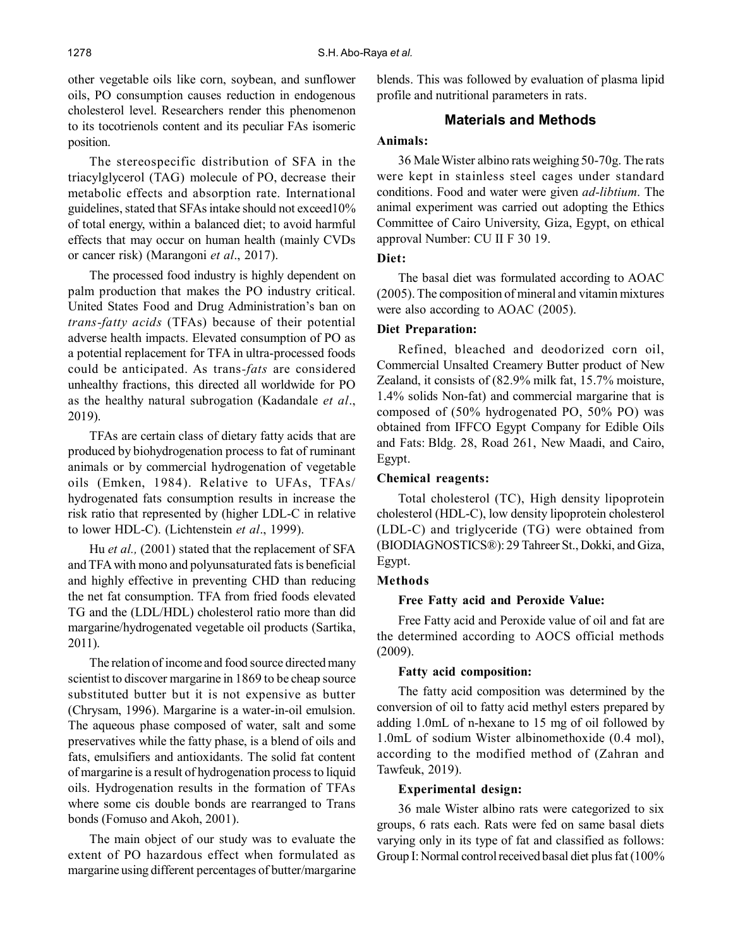other vegetable oils like corn, soybean, and sunflower oils, PO consumption causes reduction in endogenous cholesterol level. Researchers render this phenomenon to its tocotrienols content and its peculiar FAs isomeric position.

The stereospecific distribution of SFA in the triacylglycerol (TAG) molecule of PO, decrease their metabolic effects and absorption rate. International guidelines, stated that SFAs intake should not exceed10% of total energy, within a balanced diet; to avoid harmful effects that may occur on human health (mainly CVDs or cancer risk) (Marangoni *et al*., 2017).

The processed food industry is highly dependent on palm production that makes the PO industry critical. United States Food and Drug Administration's ban on *trans-fatty acids* (TFAs) because of their potential adverse health impacts. Elevated consumption of PO as a potential replacement for TFA in ultra-processed foods could be anticipated. As trans*-fats* are considered unhealthy fractions, this directed all worldwide for PO as the healthy natural subrogation (Kadandale *et al*., 2019).

TFAs are certain class of dietary fatty acids that are produced by biohydrogenation process to fat of ruminant animals or by commercial hydrogenation of vegetable oils (Emken, 1984). Relative to UFAs, TFAs/ hydrogenated fats consumption results in increase the risk ratio that represented by (higher LDL-C in relative to lower HDL-C). (Lichtenstein *et al*., 1999).

Hu *et al.,* (2001) stated that the replacement of SFA and TFA with mono and polyunsaturated fats is beneficial and highly effective in preventing CHD than reducing the net fat consumption. TFA from fried foods elevated TG and the (LDL/HDL) cholesterol ratio more than did margarine/hydrogenated vegetable oil products (Sartika, 2011).

The relation of income and food source directed many scientist to discover margarine in 1869 to be cheap source substituted butter but it is not expensive as butter (Chrysam, 1996). Margarine is a water-in-oil emulsion. The aqueous phase composed of water, salt and some preservatives while the fatty phase, is a blend of oils and fats, emulsifiers and antioxidants. The solid fat content of margarine is a result of hydrogenation process to liquid oils. Hydrogenation results in the formation of TFAs where some cis double bonds are rearranged to Trans bonds (Fomuso and Akoh, 2001).

The main object of our study was to evaluate the extent of PO hazardous effect when formulated as margarine using different percentages of butter/margarine blends. This was followed by evaluation of plasma lipid profile and nutritional parameters in rats.

## **Materials and Methods**

## **Animals:**

36 Male Wister albino rats weighing 50-70g. The rats were kept in stainless steel cages under standard conditions. Food and water were given *ad-libtium*. The animal experiment was carried out adopting the Ethics Committee of Cairo University, Giza, Egypt, on ethical approval Number: CU II F 30 19.

## **Diet:**

The basal diet was formulated according to AOAC (2005). The composition of mineral and vitamin mixtures were also according to AOAC (2005).

## **Diet Preparation:**

Refined, bleached and deodorized corn oil, Commercial Unsalted Creamery Butter product of New Zealand, it consists of (82.9% milk fat, 15.7% moisture, 1.4% solids Non-fat) and commercial margarine that is composed of (50% hydrogenated PO, 50% PO) was obtained from IFFCO Egypt Company for Edible Oils and Fats: Bldg. 28, Road 261, New Maadi, and Cairo, Egypt.

## **Chemical reagents:**

Total cholesterol (TC), High density lipoprotein cholesterol (HDL-C), low density lipoprotein cholesterol (LDL-C) and triglyceride (TG) were obtained from (BIODIAGNOSTICS®): 29 Tahreer St., Dokki, and Giza, Egypt.

## **Methods**

## **Free Fatty acid and Peroxide Value:**

Free Fatty acid and Peroxide value of oil and fat are the determined according to AOCS official methods (2009).

## **Fatty acid composition:**

The fatty acid composition was determined by the conversion of oil to fatty acid methyl esters prepared by adding 1.0mL of n-hexane to 15 mg of oil followed by 1.0mL of sodium Wister albinomethoxide (0.4 mol), according to the modified method of (Zahran and Tawfeuk, 2019).

## **Experimental design:**

36 male Wister albino rats were categorized to six groups, 6 rats each. Rats were fed on same basal diets varying only in its type of fat and classified as follows: Group I: Normal control received basal diet plus fat (100%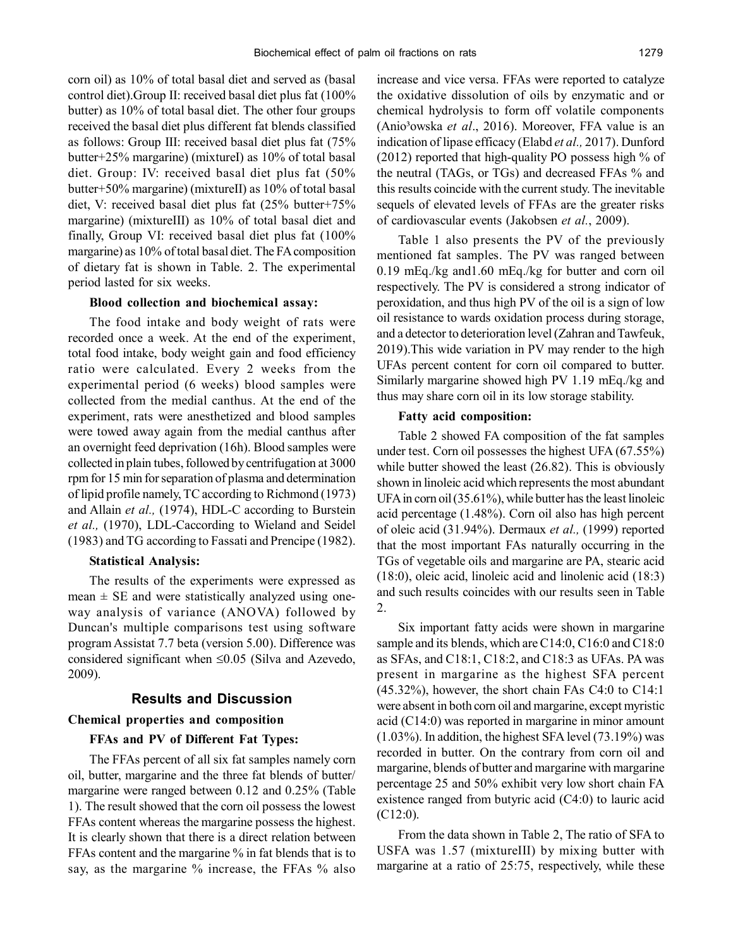corn oil) as 10% of total basal diet and served as (basal control diet).Group II: received basal diet plus fat (100% butter) as 10% of total basal diet. The other four groups received the basal diet plus different fat blends classified as follows: Group III: received basal diet plus fat (75% butter+25% margarine) (mixtureI) as 10% of total basal diet. Group: IV: received basal diet plus fat (50% butter+50% margarine) (mixtureII) as 10% of total basal diet, V: received basal diet plus fat (25% butter+75% margarine) (mixtureIII) as 10% of total basal diet and finally, Group VI: received basal diet plus fat (100% margarine) as 10% of total basal diet. The FA composition of dietary fat is shown in Table. 2. The experimental period lasted for six weeks.

#### **Blood collection and biochemical assay:**

The food intake and body weight of rats were recorded once a week. At the end of the experiment, total food intake, body weight gain and food efficiency ratio were calculated. Every 2 weeks from the experimental period (6 weeks) blood samples were collected from the medial canthus. At the end of the experiment, rats were anesthetized and blood samples were towed away again from the medial canthus after an overnight feed deprivation (16h). Blood samples were collected in plain tubes, followed by centrifugation at 3000 rpm for 15 min for separation of plasma and determination of lipid profile namely, TC according to Richmond (1973) and Allain *et al.,* (1974), HDL-C according to Burstein *et al.,* (1970), LDL-Caccording to Wieland and Seidel (1983) and TG according to Fassati and Prencipe (1982).

#### **Statistical Analysis:**

The results of the experiments were expressed as mean  $\pm$  SE and were statistically analyzed using oneway analysis of variance (ANOVA) followed by Duncan's multiple comparisons test using software program Assistat 7.7 beta (version 5.00). Difference was considered significant when  $\leq 0.05$  (Silva and Azevedo, 2009).

## **Results and Discussion**

#### **Chemical properties and composition**

#### **FFAs and PV of Different Fat Types:**

The FFAs percent of all six fat samples namely corn oil, butter, margarine and the three fat blends of butter/ margarine were ranged between 0.12 and 0.25% (Table 1). The result showed that the corn oil possess the lowest FFAs content whereas the margarine possess the highest. It is clearly shown that there is a direct relation between FFAs content and the margarine % in fat blends that is to say, as the margarine % increase, the FFAs % also increase and vice versa. FFAs were reported to catalyze the oxidative dissolution of oils by enzymatic and or chemical hydrolysis to form off volatile components (Anio³owska *et al*., 2016). Moreover, FFA value is an indication of lipase efficacy (Elabd *et al.,* 2017). Dunford (2012) reported that high-quality PO possess high % of the neutral (TAGs, or TGs) and decreased FFAs % and this results coincide with the current study. The inevitable sequels of elevated levels of FFAs are the greater risks of cardiovascular events (Jakobsen *et al.*, 2009).

Table 1 also presents the PV of the previously mentioned fat samples. The PV was ranged between 0.19 mEq./kg and1.60 mEq./kg for butter and corn oil respectively. The PV is considered a strong indicator of peroxidation, and thus high PV of the oil is a sign of low oil resistance to wards oxidation process during storage, and a detector to deterioration level (Zahran and Tawfeuk, 2019).This wide variation in PV may render to the high UFAs percent content for corn oil compared to butter. Similarly margarine showed high PV 1.19 mEq./kg and thus may share corn oil in its low storage stability.

#### **Fatty acid composition:**

Table 2 showed FA composition of the fat samples under test. Corn oil possesses the highest UFA (67.55%) while butter showed the least (26.82). This is obviously shown in linoleic acid which represents the most abundant UFA in corn oil (35.61%), while butter has the least linoleic acid percentage (1.48%). Corn oil also has high percent of oleic acid (31.94%). Dermaux *et al.,* (1999) reported that the most important FAs naturally occurring in the TGs of vegetable oils and margarine are PA, stearic acid (18:0), oleic acid, linoleic acid and linolenic acid (18:3) and such results coincides with our results seen in Table 2.

Six important fatty acids were shown in margarine sample and its blends, which are C14:0, C16:0 and C18:0 as SFAs, and C18:1, C18:2, and C18:3 as UFAs. PA was present in margarine as the highest SFA percent (45.32%), however, the short chain FAs C4:0 to C14:1 were absent in both corn oil and margarine, except myristic acid (C14:0) was reported in margarine in minor amount (1.03%). In addition, the highest SFA level (73.19%) was recorded in butter. On the contrary from corn oil and margarine, blends of butter and margarine with margarine percentage 25 and 50% exhibit very low short chain FA existence ranged from butyric acid (C4:0) to lauric acid (C12:0).

From the data shown in Table 2, The ratio of SFA to USFA was 1.57 (mixtureIII) by mixing butter with margarine at a ratio of 25:75, respectively, while these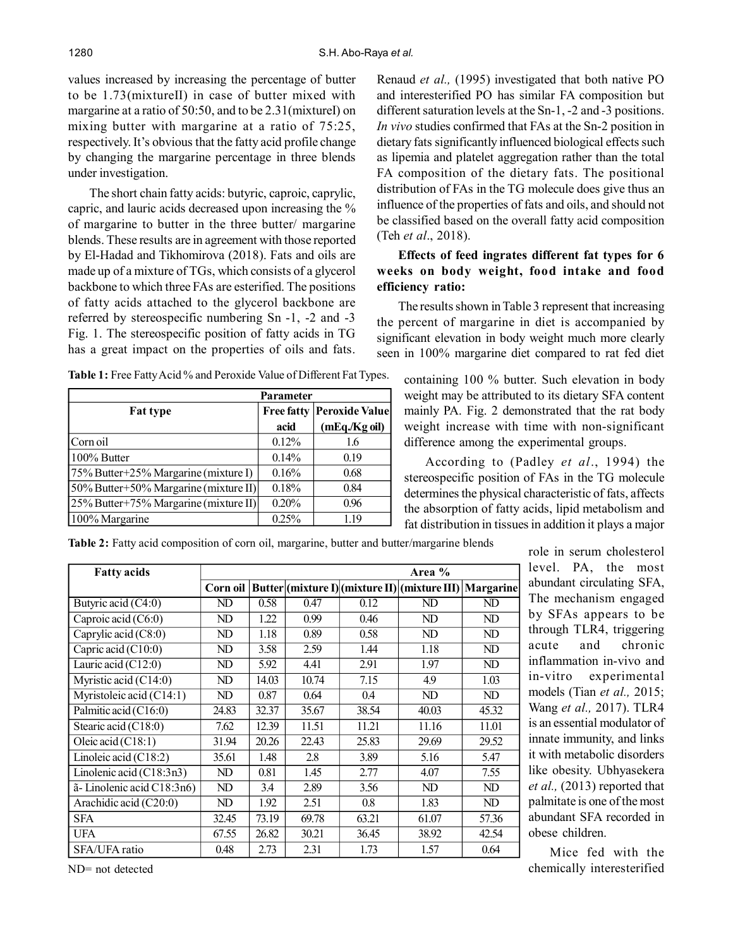values increased by increasing the percentage of butter to be 1.73(mixtureII) in case of butter mixed with margarine at a ratio of 50:50, and to be 2.31(mixtureI) on mixing butter with margarine at a ratio of 75:25, respectively. It's obvious that the fatty acid profile change by changing the margarine percentage in three blends under investigation.

The short chain fatty acids: butyric, caproic, caprylic, capric, and lauric acids decreased upon increasing the % of margarine to butter in the three butter/ margarine blends. These results are in agreement with those reported by El-Hadad and Tikhomirova (2018). Fats and oils are made up of a mixture of TGs, which consists of a glycerol backbone to which three FAs are esterified. The positions of fatty acids attached to the glycerol backbone are referred by stereospecific numbering Sn -1, -2 and -3 Fig. 1. The stereospecific position of fatty acids in TG has a great impact on the properties of oils and fats.

Renaud *et al.,* (1995) investigated that both native PO and interesterified PO has similar FA composition but different saturation levels at the Sn-1, -2 and -3 positions. *In vivo* studies confirmed that FAs at the Sn-2 position in dietary fats significantly influenced biological effects such as lipemia and platelet aggregation rather than the total FA composition of the dietary fats. The positional distribution of FAs in the TG molecule does give thus an influence of the properties of fats and oils, and should not be classified based on the overall fatty acid composition (Teh *et al*., 2018).

# **Effects of feed ingrates different fat types for 6 weeks on body weight, food intake and food efficiency ratio:**

The results shown in Table 3 represent that increasing the percent of margarine in diet is accompanied by significant elevation in body weight much more clearly seen in 100% margarine diet compared to rat fed diet

**Table 1:** Free Fatty Acid % and Peroxide Value of Different Fat Types.

|                                       | <b>Parameter</b>  |                       |
|---------------------------------------|-------------------|-----------------------|
| <b>Fat type</b>                       | <b>Free fatty</b> | <b>Peroxide Value</b> |
|                                       | acid              | (mEq./Kg oil)         |
| Corn oil                              | 0.12%             | 1.6                   |
| 100% Butter                           | 0.14%             | 0.19                  |
| 75% Butter+25% Margarine (mixture I)  | 0.16%             | 0.68                  |
| 50% Butter+50% Margarine (mixture II) | 0.18%             | 0.84                  |
| 25% Butter+75% Margarine (mixture II) | 0.20%             | 0.96                  |
| 100% Margarine                        | 0.25%             | 1.19                  |

containing 100 % butter. Such elevation in body weight may be attributed to its dietary SFA content mainly PA. Fig. 2 demonstrated that the rat body weight increase with time with non-significant difference among the experimental groups.

According to (Padley *et al*., 1994) the stereospecific position of FAs in the TG molecule determines the physical characteristic of fats, affects the absorption of fatty acids, lipid metabolism and fat distribution in tissues in addition it plays a major

**Table 2:** Fatty acid composition of corn oil, margarine, butter and butter/margarine blends

| <b>Fatty acids</b>               | Area %   |       |       |       |                                               |                  |  |  |
|----------------------------------|----------|-------|-------|-------|-----------------------------------------------|------------------|--|--|
|                                  | Corn oil |       |       |       | Butter (mixture I) (mixture II) (mixture III) | <b>Margarine</b> |  |  |
| Butyric acid (C4:0)              | ND       | 0.58  | 0.47  | 0.12  | ND                                            | ND.              |  |  |
| Caproic acid $(C6:0)$            | ND       | 1.22  | 0.99  | 0.46  | ND                                            | ND.              |  |  |
| Caprylic acid $(C8:0)$           | ND       | 1.18  | 0.89  | 0.58  | ND                                            | ND               |  |  |
| Capric acid $(C10:0)$            | ND       | 3.58  | 2.59  | 1.44  | 1.18                                          | ND.              |  |  |
| Lauric acid $\overline{(C12:0)}$ | ND       | 5.92  | 4.41  | 2.91  | 1.97                                          | ND               |  |  |
| Myristic acid (C14:0)            | ND       | 14.03 | 10.74 | 7.15  | 4.9                                           | 1.03             |  |  |
| Myristoleic acid (C14:1)         | ND       | 0.87  | 0.64  | 0.4   | ND                                            | ND               |  |  |
| Palmitic acid (C16:0)            | 24.83    | 32.37 | 35.67 | 38.54 | 40.03                                         | 45.32            |  |  |
| Stearic acid (C18:0)             | 7.62     | 12.39 | 11.51 | 11.21 | 11.16                                         | 11.01            |  |  |
| $\overline{O}$ leic acid (C18:1) | 31.94    | 20.26 | 22.43 | 25.83 | 29.69                                         | 29.52            |  |  |
| Linoleic acid (C18:2)            | 35.61    | 1.48  | 2.8   | 3.89  | 5.16                                          | 5.47             |  |  |
| Linolenic acid (C18:3n3)         | ND       | 0.81  | 1.45  | 2.77  | 4.07                                          | 7.55             |  |  |
| ã-Linolenic acid C18:3n6)        | ND       | 3.4   | 2.89  | 3.56  | ND                                            | ND               |  |  |
| Arachidic acid (C20:0)           | ND       | 1.92  | 2.51  | 0.8   | 1.83                                          | ND               |  |  |
| <b>SFA</b>                       | 32.45    | 73.19 | 69.78 | 63.21 | 61.07                                         | 57.36            |  |  |
| <b>UFA</b>                       | 67.55    | 26.82 | 30.21 | 36.45 | 38.92                                         | 42.54            |  |  |
| SFA/UFA ratio                    | 0.48     | 2.73  | 2.31  | 1.73  | 1.57                                          | 0.64             |  |  |

level. PA, the most abundant circulating SFA, The mechanism engaged by SFAs appears to be through TLR4, triggering acute and chronic inflammation in-vivo and in-vitro experimental models (Tian *et al.,* 2015; Wang *et al.,* 2017). TLR4 is an essential modulator of innate immunity, and links it with metabolic disorders like obesity. Ubhyasekera *et al.,* (2013) reported that palmitate is one of the most abundant SFA recorded in obese children.

role in serum cholesterol

Mice fed with the chemically interesterified

ND= not detected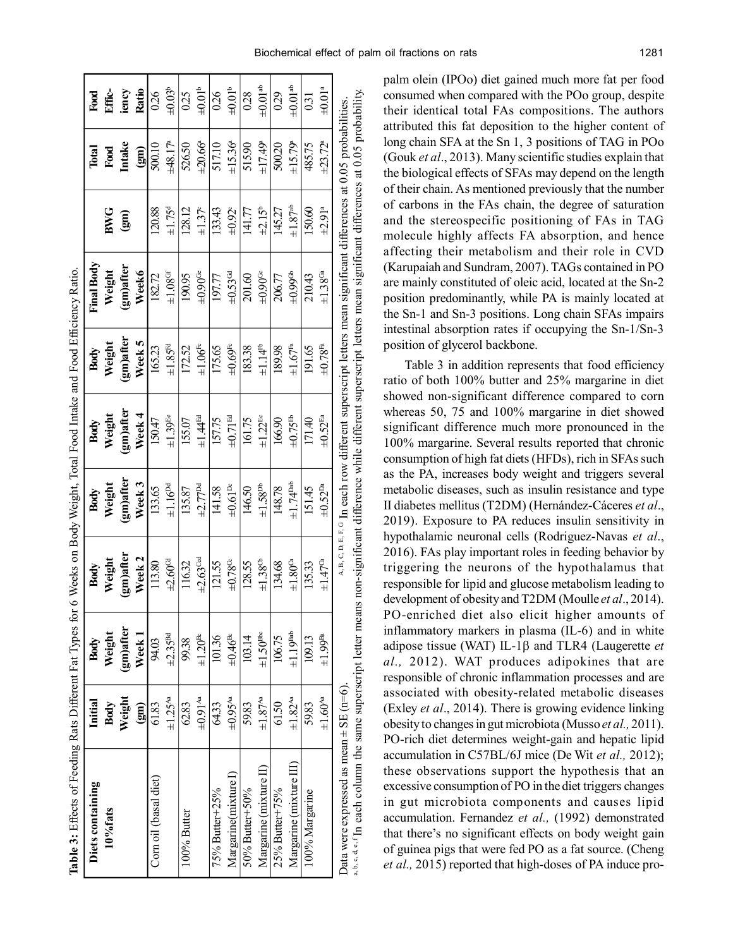| Table 3: Effects of Feeding Rats Different Fat Types for 6 Weeks on Body Weight, Total Food Intake and Food Efficiency Ratio. |                          |                                              |                           |                           |                          |                               |                                                                                                                                  |                          |                       |                          |
|-------------------------------------------------------------------------------------------------------------------------------|--------------------------|----------------------------------------------|---------------------------|---------------------------|--------------------------|-------------------------------|----------------------------------------------------------------------------------------------------------------------------------|--------------------------|-----------------------|--------------------------|
| Diets containing                                                                                                              | Initial                  | Body                                         | Body                      | Body                      | Body                     | Body                          | Final Body                                                                                                                       |                          | Total                 | Food                     |
| 10%fats                                                                                                                       | Body                     | Weight                                       | Weight                    | Weight                    | Weight                   | Weight                        | Weight                                                                                                                           | <b>BWG</b>               | Food                  | Effic-                   |
|                                                                                                                               | Weight                   | (gm)after                                    | gm)after                  | gm)after                  | gm)after                 | gm)after                      | gm)after                                                                                                                         | $\binom{2}{3}$           | Intake                | iency                    |
|                                                                                                                               | $\mathbf{g}$             | $\mathbf{W}\mathbf{e}\mathbf{e}\mathbf{k}$ ] | Week <sub>2</sub>         | Week 3                    | Week 4                   | Week 5                        | Week6                                                                                                                            |                          | $\binom{2}{3}$        | Ratio                    |
| Corn oil (basal diet)                                                                                                         | 61.83                    | 94.03                                        | 113.80                    | 133.65                    | 150.47                   | 165.23                        | 182.72                                                                                                                           | 120.88                   | 500.10                | 026                      |
|                                                                                                                               | $\pm 1.25$ <sup>Aa</sup> | $\pm 2.35$ <sup>Bd</sup>                     | ±2.60 <sup>ct</sup>       | $\pm 1.16^{pd}$           | $\pm 1.39$ <sup>Ee</sup> | $\pm 1.85^{\text{Fe}}$        | $\pm 1.08$ <sup>G</sup>                                                                                                          | $\pm 1.75^d$             | ±48.17 <sup>a</sup>   | $\pm 0.03^{\rm b}$       |
| 100% Butter                                                                                                                   | 62.83                    | 99.38                                        | 116.32                    | 135.87                    | 155.07                   | 172.52                        | 190.95                                                                                                                           | 128.12                   | 526.50                | 0.25                     |
|                                                                                                                               | $\pm 0.91$ <sup>Aa</sup> | $\pm 1.20$ <sup>Bc</sup>                     | $\pm 2.63$ <sup>Cod</sup> | $\pm 2.77$ <sup>pd</sup>  | $\pm 1.44$ <sup>Ed</sup> | $\pm 1.06^{\rm Fe}$           | $\pm 0.90$ <sup>Ge</sup>                                                                                                         | ±1.37 <sup>c</sup>       | ±20.66a               | $\pm 0.01^{\rm b}$       |
| 75% Butter+25%                                                                                                                | 64.33                    | 101.36                                       | 121.55                    | 141.58                    | 157.75                   | 175.65                        | 197.77                                                                                                                           | 133.43                   | 517.10                | 0.26                     |
| Margarine(mixture I)                                                                                                          | $\pm 0.95$ <sup>Aa</sup> | $\pm 0.46$ <sup>Bc</sup>                     | $\pm 0.78^\mathrm{C}$     | $\pm 0.61^{\rm pc}$       | $\pm 0.71^{\rm Ed}$      | $\pm 0.69^{\text{\tiny{Fe}}}$ | $\pm 0.53$ <sup>Gd</sup>                                                                                                         | $\pm 0.92$ <sup>c</sup>  | ±15.36 <sup>a</sup>   | $\pm 0.01$ <sup>b</sup>  |
| 50% Butter+50%                                                                                                                | 59.83                    | 103.14                                       | 128.55                    | 146.50                    | 161.75                   | 183.38                        | 201.60                                                                                                                           | 141.77                   | 515.90                | 0.28                     |
| Margarine (mixture II)                                                                                                        | $\pm 1.87$ <sup>Aa</sup> | $\pm 1.50$ <sup>Bbc</sup>                    | $\pm 1.38^{\rm th}$       | $\pm 1.58$ <sup>Db</sup>  | $\pm 1.22^{\text{Be}}$   | $\pm 1.14^{\text{fb}}$        | $\pm 0.90$ <sup>Gc</sup>                                                                                                         | $\pm 2.15^b$             | $±17.49$ <sup>a</sup> | $\pm 0.01$ <sup>ab</sup> |
| 25% Butter+75%                                                                                                                | 61.50                    | 106.75                                       | 134.68                    | 148.78                    | 166.90                   | 189.98                        | 206.77                                                                                                                           | 145.27                   | 500.20                | 0.29                     |
| Margarine (mixture III)                                                                                                       | $\pm 1.82$ <sup>Aa</sup> | $\pm 1.19$ <sup>Bab</sup>                    | $\pm 1.80^\text{Ca}$      | $\pm 1.74$ <sup>Dab</sup> | $+0.75$ <sup>Eb</sup>    | $\pm 1.67$ <sup>Fa</sup>      | $\pm 0.99$ <sup>ct</sup>                                                                                                         | $\pm 1.87$ <sup>ab</sup> | ±15.79°               | $\pm 0.01$ <sup>ab</sup> |
| 100% Margarine                                                                                                                | 59.83                    | 109.13                                       | 135.33                    | 151.45                    | 171.40                   | 191.65                        | 210.43                                                                                                                           | 150.60                   | 485.75                | 0.31                     |
|                                                                                                                               | $\pm 1.60^{\rm Aa}$      | $\pm 1.99$ <sup>Ba</sup>                     | $\pm 1.47^{\circ}$        | $\pm 0.52^{Da}$           | $\pm 0.52^{\text{Ea}}$   | $_{\pm 0.78^{\rm Fa}}$        | $\pm 1.38$ Ga                                                                                                                    | $\pm$ 2.91ª              | $\pm 23.72^{\circ}$   | $\pm 0.01$ <sup>a</sup>  |
| Data were expressed as mean $\pm$ SE (n=6)                                                                                    |                          |                                              |                           |                           |                          |                               | $\Delta B$ , $C$ , $D$ , $E$ , $C$ In each row different superscript letters mean significant differences at 0.05 probabilities. |                          |                       |                          |

palm olein (IPOo) diet gained much more fat per food consumed when compared with the POo group, despite their identical total FAs compositions. The authors attributed this fat deposition to the higher content of long chain SFA at the Sn 1, 3 positions of TAG in POo (Gouk *et al*., 2013). Many scientific studies explain that the biological effects of SFAs may depend on the length of their chain. As mentioned previously that the number of carbons in the FAs chain, the degree of saturation and the stereospecific positioning of FAs in TAG molecule highly affects FA absorption, and hence affecting their metabolism and their role in CVD (Karupaiah and Sundram, 2007). TAGs contained in PO are mainly constituted of oleic acid, located at the Sn-2 position predominantly, while PA is mainly located at the Sn-1 and Sn-3 positions. Long chain SFAs impairs intestinal absorption rates if occupying the Sn-1/Sn-3 position of glycerol backbone.

Table 3 in addition represents that food efficiency ratio of both 100% butter and 25% margarine in diet showed non-significant difference compared to corn whereas 50, 75 and 100% margarine in diet showed significant difference much more pronounced in the 100% margarine. Several results reported that chronic consumption of high fat diets (HFDs), rich in SFAs such as the PA, increases body weight and triggers several metabolic diseases, such as insulin resistance and type II diabetes mellitus (T2DM) (Hernández-Cáceres *et al*., 2019). Exposure to PA reduces insulin sensitivity in hypothalamic neuronal cells (Rodriguez-Navas *et al*., 2016). FAs play important roles in feeding behavior by triggering the neurons of the hypothalamus that responsible for lipid and glucose metabolism leading to development of obesity and T2DM (Moulle *et al*., 2014). PO-enriched diet also elicit higher amounts of inflammatory markers in plasma (IL-6) and in white adipose tissue (WAT) IL-1 $\beta$  and TLR4 (Laugerette *et al.,* 2012). WAT produces adipokines that are responsible of chronic inflammation processes and are associated with obesity-related metabolic diseases (Exley *et al*., 2014). There is growing evidence linking obesity to changes in gut microbiota (Musso *et al.,* 2011). PO-rich diet determines weight-gain and hepatic lipid accumulation in C57BL/6J mice (De Wit *et al.,* 2012); these observations support the hypothesis that an excessive consumption of PO in the diet triggers changes in gut microbiota components and causes lipid accumulation. Fernandez *et al.,* (1992) demonstrated that there's no significant effects on body weight gain of guinea pigs that were fed PO as a fat source. (Cheng *et al.,* 2015) reported that high-doses of PA induce pro-

a, b, c, d, e, In each column the same superscript letter means non-significant difference while different superscript letters mean significant differences at 0.05 probability.

a, b, e, d, e, In each column the same superscript letter means non-significant difference while different superscript letters mean significant differences at 0.05 probability,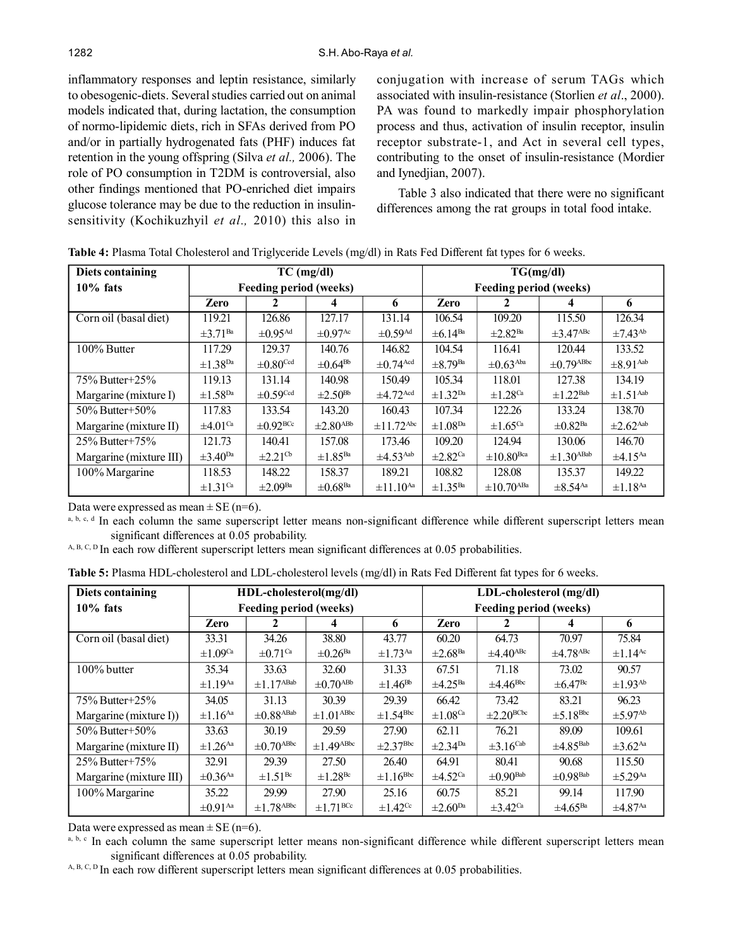inflammatory responses and leptin resistance, similarly to obesogenic-diets. Several studies carried out on animal models indicated that, during lactation, the consumption of normo-lipidemic diets, rich in SFAs derived from PO and/or in partially hydrogenated fats (PHF) induces fat retention in the young offspring (Silva *et al.,* 2006). The role of PO consumption in T2DM is controversial, also other findings mentioned that PO-enriched diet impairs glucose tolerance may be due to the reduction in insulinsensitivity (Kochikuzhyil *et al.,* 2010) this also in conjugation with increase of serum TAGs which associated with insulin-resistance (Storlien *et al*., 2000). PA was found to markedly impair phosphorylation process and thus, activation of insulin receptor, insulin receptor substrate-1, and Act in several cell types, contributing to the onset of insulin-resistance (Mordier and Iynedjian, 2007).

Table 3 also indicated that there were no significant differences among the rat groups in total food intake.

| Diets containing        |                          |                               | $TC$ (mg/dl)              |                            |                          | TG(mg/dl)                     |                            |                           |
|-------------------------|--------------------------|-------------------------------|---------------------------|----------------------------|--------------------------|-------------------------------|----------------------------|---------------------------|
| $10\%$ fats             |                          | <b>Feeding period (weeks)</b> |                           |                            |                          | <b>Feeding period (weeks)</b> |                            |                           |
|                         | Zero                     | 2                             | 4                         | 6                          | Zero                     |                               | 4                          | 6                         |
| Corn oil (basal diet)   | 119.21                   | 126.86                        | 127.17                    | 131.14                     | 106.54                   | 109.20                        | 115.50                     | 126.34                    |
|                         | $\pm 3.71^{Ba}$          | $\pm 0.95$ <sup>Ad</sup>      | $\pm 0.97$ <sup>Ac</sup>  | $\pm 0.59$ <sup>Ad</sup>   | $\pm 6.14^{Ba}$          | $\pm 2.82$ <sup>Ba</sup>      | $\pm 3.47$ <sup>ABc</sup>  | $\pm$ 7.43 <sup>Ab</sup>  |
| 100% Butter             | 117.29                   | 129.37                        | 140.76                    | 146.82                     | 104.54                   | 116.41                        | 120.44                     | 133.52                    |
|                         | $\pm 1.38^{Da}$          | $\pm 0.80$ <sup>Ccd</sup>     | $\pm 0.64$ <sup>Bb</sup>  | $\pm 0.74$ <sup>Acd</sup>  | $\pm 8.79$ <sup>Ba</sup> | $\pm 0.63$ <sup>Aba</sup>     | $\pm 0.79$ <sup>ABbc</sup> | $\pm 8.91$ <sup>Aab</sup> |
| $75\%$ Butter+25%       | 119.13                   | 131.14                        | 140.98                    | 150.49                     | 105.34                   | 118.01                        | 127.38                     | 134.19                    |
| Margarine (mixture I)   | $\pm 1.58^{Da}$          | $\pm 0.59$ <sup>Ccd</sup>     | $\pm 2.50$ <sup>Bb</sup>  | $\pm 4.72$ <sup>Acd</sup>  | $\pm$ 1.32 <sup>Da</sup> | $\pm 1.28$ <sup>Ca</sup>      | $\pm$ 1.22 <sup>Bab</sup>  | $\pm$ 1.51 <sup>Aab</sup> |
| 50\% Butter+50\%        | 117.83                   | 133.54                        | 143.20                    | 160.43                     | 107.34                   | 122.26                        | 133.24                     | 138.70                    |
| Margarine (mixture II)  | $\pm 4.01$ <sup>Ca</sup> | $\pm 0.92$ <sup>BCc</sup>     | $\pm 2.80$ <sup>ABb</sup> | $\pm$ 11.72 <sup>Abc</sup> | $\pm 1.08$ <sup>Da</sup> | $\pm 1.65^{\text{Ca}}$        | $\pm 0.82$ <sup>Ba</sup>   | $\pm 2.62$ <sup>Aab</sup> |
| $25\%$ Butter+75 $\%$   | 121.73                   | 140.41                        | 157.08                    | 173.46                     | 109.20                   | 124.94                        | 130.06                     | 146.70                    |
| Margarine (mixture III) | $\pm 3.40^{Da}$          | $\pm 2.21$ <sup>Cb</sup>      | $\pm 1.85$ <sup>Ba</sup>  | $\pm 4.53$ <sup>Aab</sup>  | $\pm 2.82$ <sup>Ca</sup> | $\pm 10.80$ <sup>Bca</sup>    | $\pm 1.30$ <sup>ABab</sup> | $\pm 4.15$ <sup>Aa</sup>  |
| 100% Margarine          | 118.53                   | 148.22                        | 158.37                    | 189.21                     | 108.82                   | 128.08                        | 135.37                     | 149.22                    |
|                         | $\pm$ 1.31 <sup>Ca</sup> | $\pm 2.09$ <sup>Ba</sup>      | $\pm 0.68$ <sup>Ba</sup>  | $\pm 11.10^{Aa}$           | $\pm 1.35^{Ba}$          | $\pm 10.70$ <sup>ABa</sup>    | $\pm 8.54$ <sup>Aa</sup>   | $\pm 1.18$ <sup>Aa</sup>  |

**Table 4:** Plasma Total Cholesterol and Triglyceride Levels (mg/dl) in Rats Fed Different fat types for 6 weeks.

Data were expressed as mean  $\pm$  SE (n=6).

 $a, b, c, d$  In each column the same superscript letter means non-significant difference while different superscript letters mean significant differences at 0.05 probability.

 $A, B, C, D$  In each row different superscript letters mean significant differences at 0.05 probabilities.

**Table 5:** Plasma HDL-cholesterol and LDL-cholesterol levels (mg/dl) in Rats Fed Different fat types for 6 weeks.

| Diets containing          |                          | HDL-cholesterol(mg/dl)        |                            |                           | LDL-cholesterol (mg/dl)       |                           |                           |                          |  |
|---------------------------|--------------------------|-------------------------------|----------------------------|---------------------------|-------------------------------|---------------------------|---------------------------|--------------------------|--|
| $10\%$ fats               |                          | <b>Feeding period (weeks)</b> |                            |                           | <b>Feeding period (weeks)</b> |                           |                           |                          |  |
|                           | Zero                     | 2                             | 4                          | 6                         | Zero                          |                           |                           | 6                        |  |
| Corn oil (basal diet)     | 33.31                    | 34.26                         | 38.80                      | 43.77                     | 60.20                         | 64.73                     | 70.97                     | 75.84                    |  |
|                           | $\pm 1.09$ <sup>Ca</sup> | $\pm 0.71$ <sup>Ca</sup>      | $\pm 0.26$ <sup>Ba</sup>   | $\pm 1.73$ <sup>Aa</sup>  | $\pm 2.68$ <sup>Ba</sup>      | $\pm 4.40$ <sup>ABc</sup> | $\pm 4.78$ <sup>ABc</sup> | $\pm 1.14$ <sup>Ac</sup> |  |
| 100% butter               | 35.34                    | 33.63                         | 32.60                      | 31.33                     | 67.51                         | 71.18                     | 73.02                     | 90.57                    |  |
|                           | $\pm$ 1.19 <sup>Aa</sup> | $\pm 1.17$ <sup>ABab</sup>    | $\pm 0.70$ <sup>ABb</sup>  | $\pm 1.46$ <sup>Bb</sup>  | $\pm 4.25$ <sup>Ba</sup>      | $\pm 4.46^{\text{Bbc}}$   | $\pm 6.47^{\rm Bc}$       | $\pm$ 1.93 <sup>Ab</sup> |  |
| $75\%$ Butter + $25\%$    | 34.05                    | 31.13                         | 30.39                      | 29.39                     | 66.42                         | 73.42                     | 83.21                     | 96.23                    |  |
| Margarine (mixture $I$ )) | $\pm 1.16$ <sup>Aa</sup> | $\pm 0.88$ <sup>ABab</sup>    | $\pm 1.01^{\rm A Bbc}$     | $\pm 1.54^{\rm Bbc}$      | $\pm 1.08$ <sup>Ca</sup>      | $\pm 2.20^{\text{BCbc}}$  | $\pm 5.18$ <sup>Bbc</sup> | $\pm$ 5.97 <sup>Ab</sup> |  |
| 50\% Butter + 50\%        | 33.63                    | 30.19                         | 29.59                      | 27.90                     | 62.11                         | 76.21                     | 89.09                     | 109.61                   |  |
| Margarine (mixture II)    | $\pm 1.26$ <sup>Aa</sup> | $\pm 0.70$ <sup>ABbc</sup>    | $\pm 1.49$ <sup>ABbc</sup> | $\pm 2.37$ <sup>Bbc</sup> | $\pm 2.34$ <sup>Da</sup>      | $\pm 3.16^{\text{Cab}}$   | $\pm 4.85^{\text{Bab}}$   | $\pm 3.62$ <sup>Aa</sup> |  |
| $25\%$ Butter+75 $\%$     | 32.91                    | 29.39                         | 27.50                      | 26.40                     | 64.91                         | 80.41                     | 90.68                     | 115.50                   |  |
| Margarine (mixture III)   | $\pm 0.36$ <sup>Aa</sup> | $\pm 1.51^{\rm Bc}$           | $\pm 1.28$ <sup>Bc</sup>   | $\pm 1.16^{\rm Bbc}$      | $\pm 4.52$ <sup>Ca</sup>      | $\pm 0.90$ <sup>Bab</sup> | $\pm 0.98$ <sup>Bab</sup> | $\pm$ 5.29 <sup>Aa</sup> |  |
| 100% Margarine            | 35.22                    | 29.99                         | 27.90                      | 25.16                     | 60.75                         | 85.21                     | 99.14                     | 117.90                   |  |
|                           | $\pm 0.91$ <sup>Aa</sup> | $\pm 1.78$ <sup>ABbc</sup>    | $\pm$ 1.71 <sup>BCc</sup>  | $\pm 1.42$ <sup>Cc</sup>  | $\pm 2.60$ <sup>Da</sup>      | $\pm 3.42$ <sup>Ca</sup>  | $\pm 4.65$ <sup>Ba</sup>  | $\pm 4.87$ <sup>Aa</sup> |  |

Data were expressed as mean  $\pm$  SE (n=6).

 $a, b, c$  In each column the same superscript letter means non-significant difference while different superscript letters mean significant differences at 0.05 probability.

 $A, B, C, D$  In each row different superscript letters mean significant differences at 0.05 probabilities.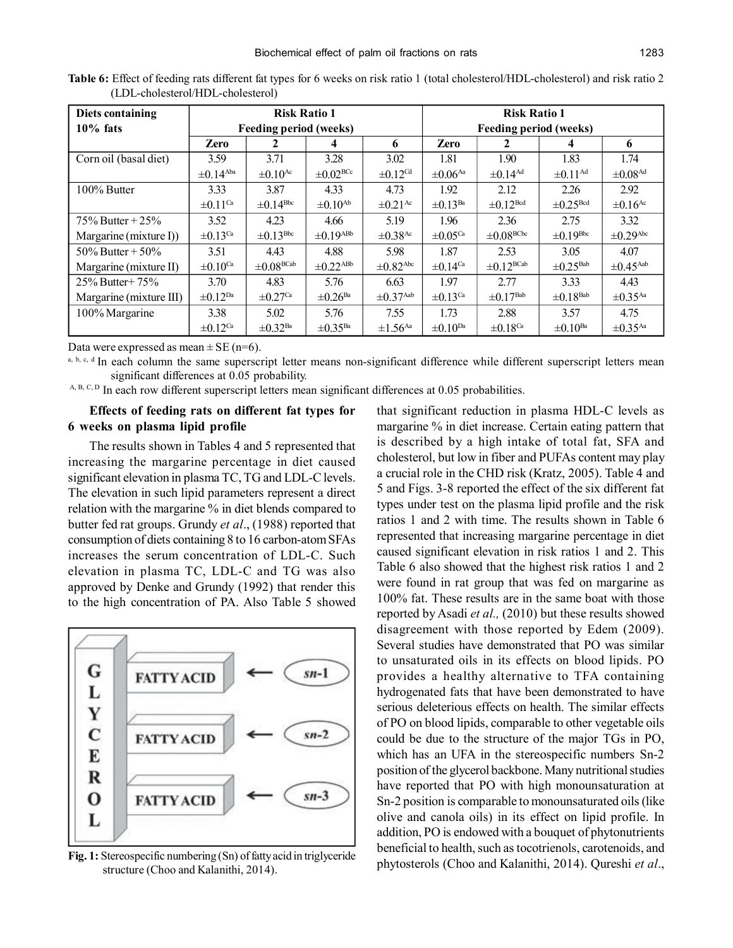| Diets containing        |                           | <b>Risk Ratio 1</b>           |                           |                           | <b>Risk Ratio 1</b>           |                           |                           |                           |  |
|-------------------------|---------------------------|-------------------------------|---------------------------|---------------------------|-------------------------------|---------------------------|---------------------------|---------------------------|--|
| $10\%$ fats             |                           | <b>Feeding period (weeks)</b> |                           |                           | <b>Feeding period (weeks)</b> |                           |                           |                           |  |
|                         | <b>Zero</b>               |                               | 4                         | 6                         | <b>Zero</b>                   |                           | 4                         | 6                         |  |
| Corn oil (basal diet)   | 3.59                      | 3.71                          | 3.28                      | 3.02                      | 1.81                          | 1.90                      | 1.83                      | 1.74                      |  |
|                         | $\pm 0.14$ <sup>Aba</sup> | $\pm 0.10$ <sup>Ac</sup>      | $\pm 0.02$ <sup>BCc</sup> | $\pm 0.12$ <sup>Cd</sup>  | $\pm 0.06$ <sup>Aa</sup>      | $\pm 0.14$ <sup>Ad</sup>  | $\pm 0.11$ <sup>Ad</sup>  | $\pm 0.08$ <sup>Ad</sup>  |  |
| 100% Butter             | 3.33                      | 3.87                          | 4.33                      | 4.73                      | 1.92                          | 2.12                      | 2.26                      | 2.92                      |  |
|                         | $\pm 0.11$ <sup>Ca</sup>  | $\pm 0.14^{\rm Bbc}$          | $\pm 0.10$ <sup>Ab</sup>  | $\pm 0.21$ <sup>Ac</sup>  | $\pm 0.13$ <sup>Ba</sup>      | $\pm 0.12$ <sup>Bcd</sup> | $\pm 0.25$ <sup>Bcd</sup> | $\pm 0.16$ <sup>Ac</sup>  |  |
| 75\% Butter + 25\%      | 3.52                      | 4.23                          | 4.66                      | 5.19                      | 1.96                          | 2.36                      | 2.75                      | 3.32                      |  |
| Margarine (mixture I))  | $\pm 0.13$ <sup>Ca</sup>  | $\pm 0.13^{\rm Bbc}$          | $\pm 0.19$ <sup>ABb</sup> | $\pm 0.38$ <sup>Ac</sup>  | $\pm 0.05$ <sup>Ca</sup>      | $\pm 0.08^{\rm BCbc}$     | $\pm 0.19^{\text{Bbc}}$   | $\pm 0.29$ <sup>Abc</sup> |  |
| 50\% Butter + 50\%      | 3.51                      | 4.43                          | 4.88                      | 5.98                      | 1.87                          | 2.53                      | 3.05                      | 4.07                      |  |
| Margarine (mixture II)  | $\pm 0.10$ <sup>Ca</sup>  | $\pm 0.08^{\rm BCab}$         | $\pm 0.22$ <sup>ABb</sup> | $\pm 0.82$ <sup>Abc</sup> | $\pm 0.14$ <sup>Ca</sup>      | $\pm 0.12^{\text{BCab}}$  | $\pm 0.25$ <sup>Bab</sup> | $\pm 0.45$ <sup>Aab</sup> |  |
| $25\%$ Butter + 75%     | 3.70                      | 4.83                          | 5.76                      | 6.63                      | 1.97                          | 2.77                      | 3.33                      | 4.43                      |  |
| Margarine (mixture III) | $\pm 0.12^{Da}$           | $\pm 0.27$ <sup>Ca</sup>      | $\pm 0.26$ <sup>Ba</sup>  | $\pm 0.37$ <sup>Aab</sup> | $\pm 0.13$ <sup>Ca</sup>      | $\pm 0.17$ <sup>Bab</sup> | $\pm 0.18$ <sup>Bab</sup> | $\pm 0.35$ <sup>Aa</sup>  |  |
| 100% Margarine          | 3.38                      | 5.02                          | 5.76                      | 7.55                      | 1.73                          | 2.88                      | 3.57                      | 4.75                      |  |
|                         | $\pm 0.12$ <sup>Ca</sup>  | $\pm 0.32$ <sup>Ba</sup>      | $\pm 0.35$ <sup>Ba</sup>  | $\pm 1.56$ <sup>Aa</sup>  | $\pm 0.10^{Da}$               | $\pm 0.18$ <sup>Ca</sup>  | $\pm 0.10^{Ba}$           | $\pm 0.35$ <sup>Aa</sup>  |  |

**Table 6:** Effect of feeding rats different fat types for 6 weeks on risk ratio 1 (total cholesterol/HDL-cholesterol) and risk ratio 2 (LDL-cholesterol/HDL-cholesterol)

Data were expressed as mean  $\pm$  SE (n=6).

a, b, c, d In each column the same superscript letter means non-significant difference while different superscript letters mean significant differences at 0.05 probability.

A, B, C, D In each row different superscript letters mean significant differences at 0.05 probabilities.

## **Effects of feeding rats on different fat types for 6 weeks on plasma lipid profile**

The results shown in Tables 4 and 5 represented that increasing the margarine percentage in diet caused significant elevation in plasma TC, TG and LDL-C levels. The elevation in such lipid parameters represent a direct relation with the margarine % in diet blends compared to butter fed rat groups. Grundy *et al*., (1988) reported that consumption of diets containing 8 to 16 carbon-atom SFAs increases the serum concentration of LDL-C. Such elevation in plasma TC, LDL-C and TG was also approved by Denke and Grundy (1992) that render this to the high concentration of PA. Also Table 5 showed



**Fig. 1:** Stereospecific numbering (Sn) of fatty acid in triglyceride structure (Choo and Kalanithi, 2014).

that significant reduction in plasma HDL-C levels as margarine % in diet increase. Certain eating pattern that is described by a high intake of total fat, SFA and cholesterol, but low in fiber and PUFAs content may play a crucial role in the CHD risk (Kratz, 2005). Table 4 and 5 and Figs. 3-8 reported the effect of the six different fat types under test on the plasma lipid profile and the risk ratios 1 and 2 with time. The results shown in Table 6 represented that increasing margarine percentage in diet caused significant elevation in risk ratios 1 and 2. This Table 6 also showed that the highest risk ratios 1 and 2 were found in rat group that was fed on margarine as 100% fat. These results are in the same boat with those reported by Asadi *et al.,* (2010) but these results showed disagreement with those reported by Edem (2009). Several studies have demonstrated that PO was similar to unsaturated oils in its effects on blood lipids. PO provides a healthy alternative to TFA containing hydrogenated fats that have been demonstrated to have serious deleterious effects on health. The similar effects of PO on blood lipids, comparable to other vegetable oils could be due to the structure of the major TGs in PO, which has an UFA in the stereospecific numbers Sn-2 position of the glycerol backbone. Many nutritional studies have reported that PO with high monounsaturation at Sn-2 position is comparable to monounsaturated oils (like olive and canola oils) in its effect on lipid profile. In addition, PO is endowed with a bouquet of phytonutrients beneficial to health, such as tocotrienols, carotenoids, and phytosterols (Choo and Kalanithi, 2014). Qureshi *et al*.,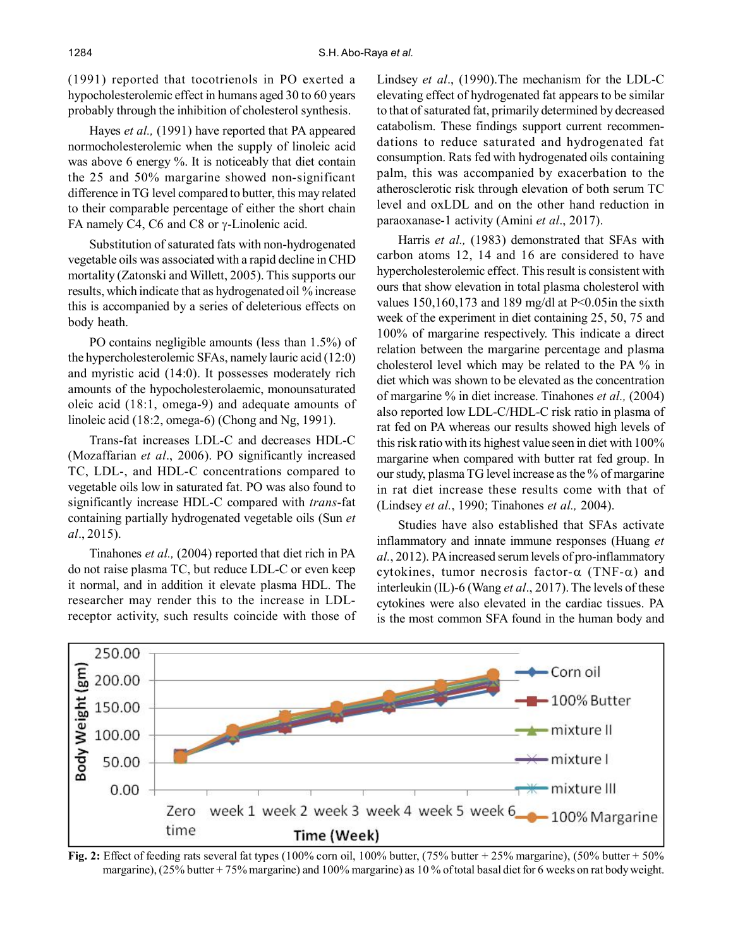(1991) reported that tocotrienols in PO exerted a hypocholesterolemic effect in humans aged 30 to 60 years probably through the inhibition of cholesterol synthesis.

Hayes *et al.,* (1991) have reported that PA appeared normocholesterolemic when the supply of linoleic acid was above 6 energy %. It is noticeably that diet contain the 25 and 50% margarine showed non-significant difference in TG level compared to butter, this may related to their comparable percentage of either the short chain FA namely C4, C6 and C8 or  $\gamma$ -Linolenic acid.

Substitution of saturated fats with non-hydrogenated vegetable oils was associated with a rapid decline in CHD mortality (Zatonski and Willett, 2005). This supports our results, which indicate that as hydrogenated oil % increase this is accompanied by a series of deleterious effects on body heath.

PO contains negligible amounts (less than 1.5%) of the hypercholesterolemic SFAs, namely lauric acid (12:0) and myristic acid (14:0). It possesses moderately rich amounts of the hypocholesterolaemic, monounsaturated oleic acid (18:1, omega-9) and adequate amounts of linoleic acid (18:2, omega-6) (Chong and Ng, 1991).

Trans-fat increases LDL-C and decreases HDL-C (Mozaffarian *et al*., 2006). PO significantly increased TC, LDL-, and HDL-C concentrations compared to vegetable oils low in saturated fat. PO was also found to significantly increase HDL-C compared with *trans*-fat containing partially hydrogenated vegetable oils (Sun *et al*., 2015).

Tinahones *et al.,* (2004) reported that diet rich in PA do not raise plasma TC, but reduce LDL-C or even keep it normal, and in addition it elevate plasma HDL. The researcher may render this to the increase in LDLreceptor activity, such results coincide with those of Lindsey *et al*., (1990).The mechanism for the LDL-C elevating effect of hydrogenated fat appears to be similar to that of saturated fat, primarily determined by decreased catabolism. These findings support current recommendations to reduce saturated and hydrogenated fat consumption. Rats fed with hydrogenated oils containing palm, this was accompanied by exacerbation to the atherosclerotic risk through elevation of both serum TC level and oxLDL and on the other hand reduction in paraoxanase-1 activity (Amini *et al*., 2017).

Harris *et al.,* (1983) demonstrated that SFAs with carbon atoms 12, 14 and 16 are considered to have hypercholesterolemic effect. This result is consistent with ours that show elevation in total plasma cholesterol with values 150,160,173 and 189 mg/dl at P<0.05in the sixth week of the experiment in diet containing 25, 50, 75 and 100% of margarine respectively. This indicate a direct relation between the margarine percentage and plasma cholesterol level which may be related to the PA % in diet which was shown to be elevated as the concentration of margarine % in diet increase. Tinahones *et al.,* (2004) also reported low LDL-C/HDL-C risk ratio in plasma of rat fed on PA whereas our results showed high levels of this risk ratio with its highest value seen in diet with 100% margarine when compared with butter rat fed group. In our study, plasma TG level increase as the % of margarine in rat diet increase these results come with that of (Lindsey *et al.*, 1990; Tinahones *et al.,* 2004).

Studies have also established that SFAs activate inflammatory and innate immune responses (Huang *et al.*, 2012). PA increased serum levels of pro-inflammatory cytokines, tumor necrosis factor- $\alpha$  (TNF- $\alpha$ ) and interleukin (IL)-6 (Wang *et al*., 2017). The levels of these cytokines were also elevated in the cardiac tissues. PA is the most common SFA found in the human body and



**Fig. 2:** Effect of feeding rats several fat types (100% corn oil, 100% butter, (75% butter + 25% margarine), (50% butter + 50% margarine), (25% butter + 75% margarine) and 100% margarine) as 10% of total basal diet for 6 weeks on rat body weight.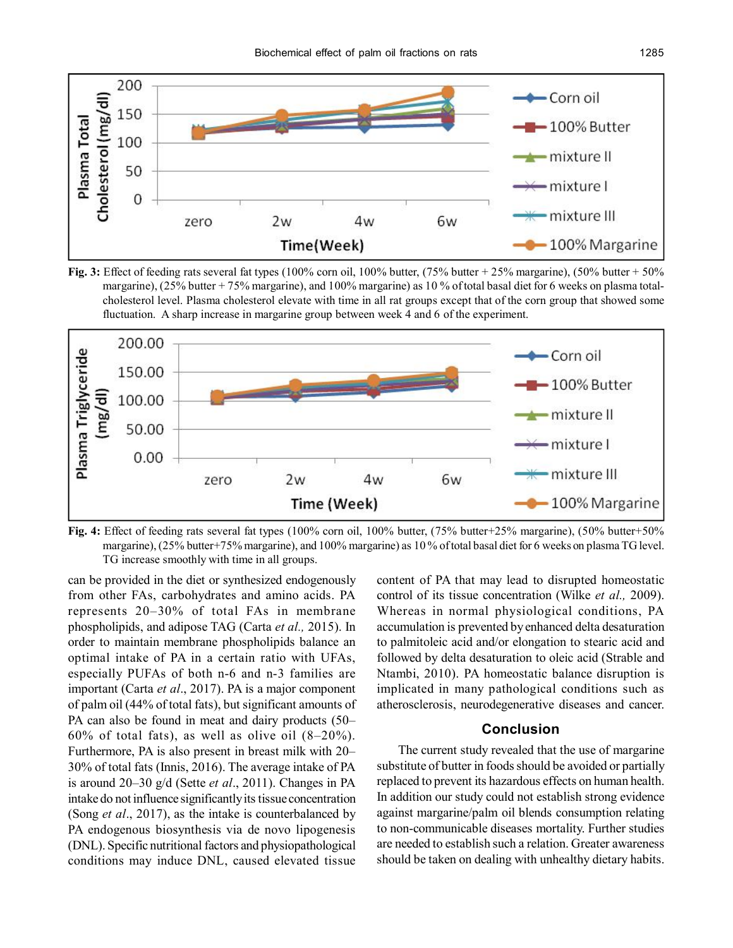





**Fig. 4:** Effect of feeding rats several fat types (100% corn oil, 100% butter, (75% butter+25% margarine), (50% butter+50% margarine), (25% butter+75% margarine), and 100% margarine) as 10% of total basal diet for 6 weeks on plasma TG level. TG increase smoothly with time in all groups.

can be provided in the diet or synthesized endogenously from other FAs, carbohydrates and amino acids. PA represents 20–30% of total FAs in membrane phospholipids, and adipose TAG (Carta *et al.,* 2015). In order to maintain membrane phospholipids balance an optimal intake of PA in a certain ratio with UFAs, especially PUFAs of both n-6 and n-3 families are important (Carta *et al*., 2017). PA is a major component of palm oil (44% of total fats), but significant amounts of PA can also be found in meat and dairy products (50–  $60\%$  of total fats), as well as olive oil  $(8-20\%)$ . Furthermore, PA is also present in breast milk with 20– 30% of total fats (Innis, 2016). The average intake of PA is around 20–30 g/d (Sette *et al*., 2011). Changes in PA intake do not influence significantly its tissue concentration (Song *et al*., 2017), as the intake is counterbalanced by PA endogenous biosynthesis via de novo lipogenesis (DNL). Specific nutritional factors and physiopathological conditions may induce DNL, caused elevated tissue

content of PA that may lead to disrupted homeostatic control of its tissue concentration (Wilke *et al.,* 2009). Whereas in normal physiological conditions, PA accumulation is prevented by enhanced delta desaturation to palmitoleic acid and/or elongation to stearic acid and followed by delta desaturation to oleic acid (Strable and Ntambi, 2010). PA homeostatic balance disruption is implicated in many pathological conditions such as atherosclerosis, neurodegenerative diseases and cancer.

# **Conclusion**

The current study revealed that the use of margarine substitute of butter in foods should be avoided or partially replaced to prevent its hazardous effects on human health. In addition our study could not establish strong evidence against margarine/palm oil blends consumption relating to non-communicable diseases mortality. Further studies are needed to establish such a relation. Greater awareness should be taken on dealing with unhealthy dietary habits.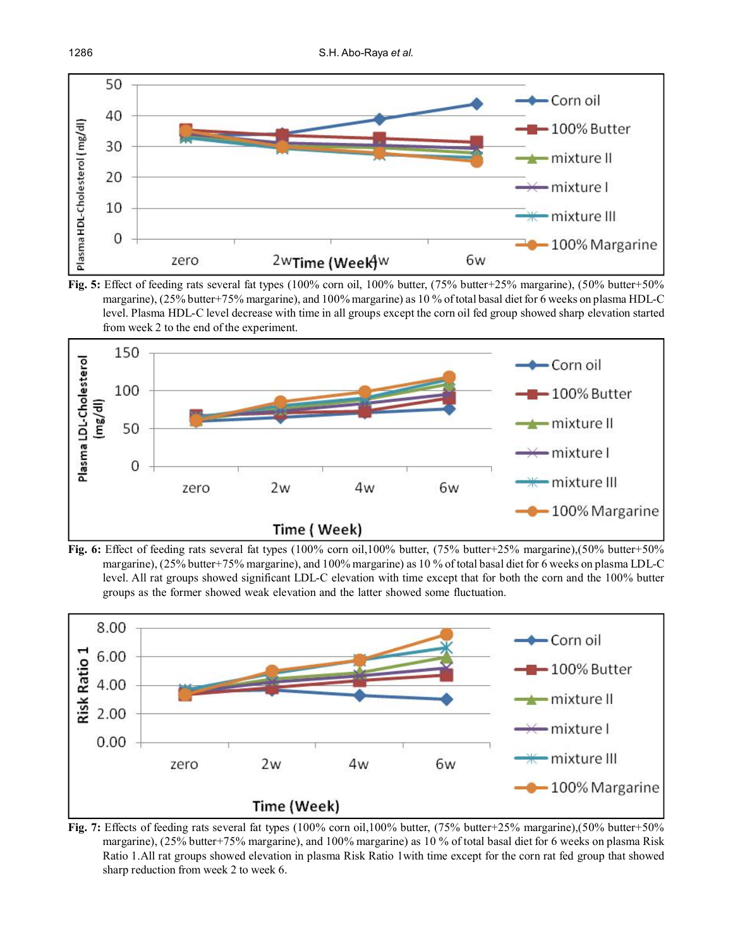









**Fig. 7:** Effects of feeding rats several fat types (100% corn oil,100% butter, (75% butter+25% margarine),(50% butter+50% margarine), (25% butter+75% margarine), and 100% margarine) as 10 % of total basal diet for 6 weeks on plasma Risk Ratio 1.All rat groups showed elevation in plasma Risk Ratio 1with time except for the corn rat fed group that showed sharp reduction from week 2 to week 6.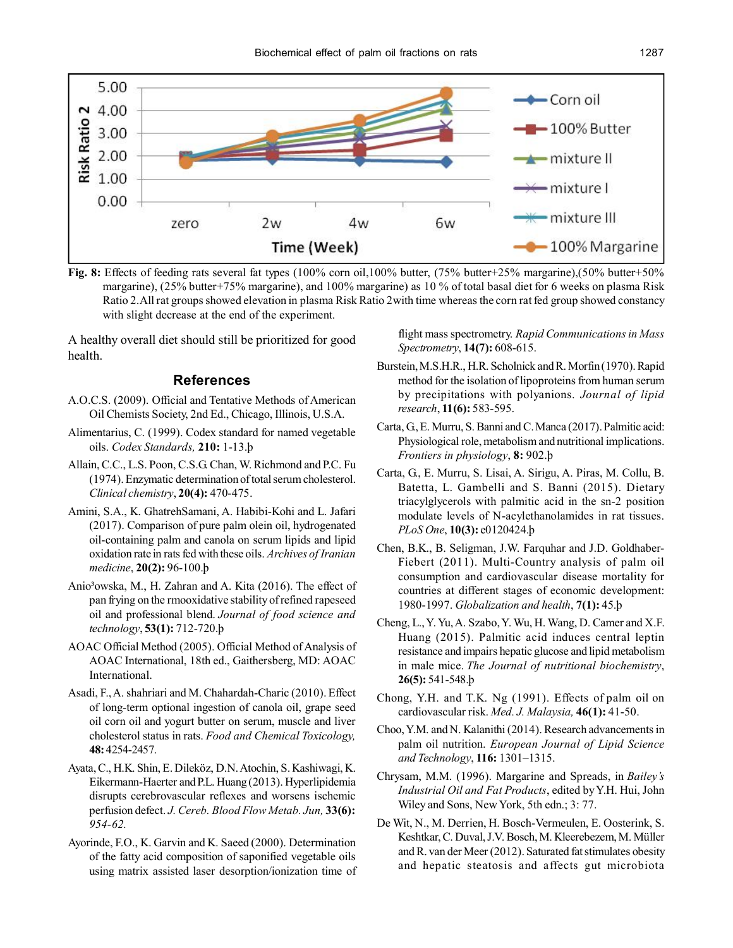

**Fig. 8:** Effects of feeding rats several fat types (100% corn oil,100% butter, (75% butter+25% margarine),(50% butter+50% margarine), (25% butter+75% margarine), and 100% margarine) as 10 % of total basal diet for 6 weeks on plasma Risk Ratio 2.All rat groups showed elevation in plasma Risk Ratio 2with time whereas the corn rat fed group showed constancy with slight decrease at the end of the experiment.

A healthy overall diet should still be prioritized for good health.

#### **References**

- A.O.C.S. (2009). Official and Tentative Methods of American Oil Chemists Society, 2nd Ed., Chicago, Illinois, U.S.A.
- Alimentarius, C. (1999). Codex standard for named vegetable oils. *Codex Standards,* **210:** 1-13.þ
- Allain, C.C., L.S. Poon, C.S.G. Chan, W. Richmond and P.C. Fu (1974). Enzymatic determination of total serum cholesterol. *Clinical chemistry*, **20(4):** 470-475.
- Amini, S.A., K. GhatrehSamani, A. Habibi-Kohi and L. Jafari (2017). Comparison of pure palm olein oil, hydrogenated oil-containing palm and canola on serum lipids and lipid oxidation rate in rats fed with these oils. *Archives of Iranian medicine*, **20(2):** 96-100.þ
- Anio<sup>3</sup>owska, M., H. Zahran and A. Kita (2016). The effect of pan frying on the rmooxidative stability of refined rapeseed oil and professional blend. *Journal of food science and technology*, **53(1):** 712-720.þ
- AOAC Official Method (2005). Official Method of Analysis of AOAC International, 18th ed., Gaithersberg, MD: AOAC International.
- Asadi, F., A. shahriari and M. Chahardah-Charic (2010). Effect of long-term optional ingestion of canola oil, grape seed oil corn oil and yogurt butter on serum, muscle and liver cholesterol status in rats. *Food and Chemical Toxicology,* **48:** 4254-2457.
- Ayata, C., H.K. Shin, E. Dileköz, D.N. Atochin, S. Kashiwagi, K. Eikermann-Haerter and P.L. Huang (2013). Hyperlipidemia disrupts cerebrovascular reflexes and worsens ischemic perfusion defect. *J. Cereb. Blood Flow Metab. Jun,* **33(6):** *954-62.*
- Ayorinde, F.O., K. Garvin and K. Saeed (2000). Determination of the fatty acid composition of saponified vegetable oils using matrix assisted laser desorption/ionization time of

flight mass spectrometry. *Rapid Communications in Mass Spectrometry*, **14(7):** 608-615.

- Burstein, M.S.H.R., H.R. Scholnick and R. Morfin (1970). Rapid method for the isolation of lipoproteins from human serum by precipitations with polyanions. *Journal of lipid research*, **11(6):** 583-595.
- Carta, G., E. Murru, S. Banni and C. Manca (2017). Palmitic acid: Physiological role, metabolism and nutritional implications. *Frontiers in physiology*, **8:** 902.þ
- Carta, G., E. Murru, S. Lisai, A. Sirigu, A. Piras, M. Collu, B. Batetta, L. Gambelli and S. Banni (2015). Dietary triacylglycerols with palmitic acid in the sn-2 position modulate levels of N-acylethanolamides in rat tissues. *PLoS One*, **10(3):** e0120424.þ
- Chen, B.K., B. Seligman, J.W. Farquhar and J.D. Goldhaber-Fiebert (2011). Multi-Country analysis of palm oil consumption and cardiovascular disease mortality for countries at different stages of economic development: 1980-1997. *Globalization and health*, **7(1):** 45.þ
- Cheng, L., Y. Yu, A. Szabo, Y. Wu, H. Wang, D. Camer and X.F. Huang (2015). Palmitic acid induces central leptin resistance and impairs hepatic glucose and lipid metabolism in male mice. *The Journal of nutritional biochemistry*, **26(5):** 541-548.þ
- Chong, Y.H. and T.K. Ng (1991). Effects of palm oil on cardiovascular risk. *Med. J. Malaysia,* **46(1):** 41-50.
- Choo, Y.M. and N. Kalanithi (2014). Research advancements in palm oil nutrition. *European Journal of Lipid Science and Technology*, **116:** 1301–1315.
- Chrysam, M.M. (1996). Margarine and Spreads, in *Bailey's Industrial Oil and Fat Products*, edited by Y.H. Hui, John Wiley and Sons, New York, 5th edn.; 3: 77.
- De Wit, N., M. Derrien, H. Bosch-Vermeulen, E. Oosterink, S. Keshtkar, C. Duval, J.V. Bosch, M. Kleerebezem, M. Müller and R. van der Meer (2012). Saturated fat stimulates obesity and hepatic steatosis and affects gut microbiota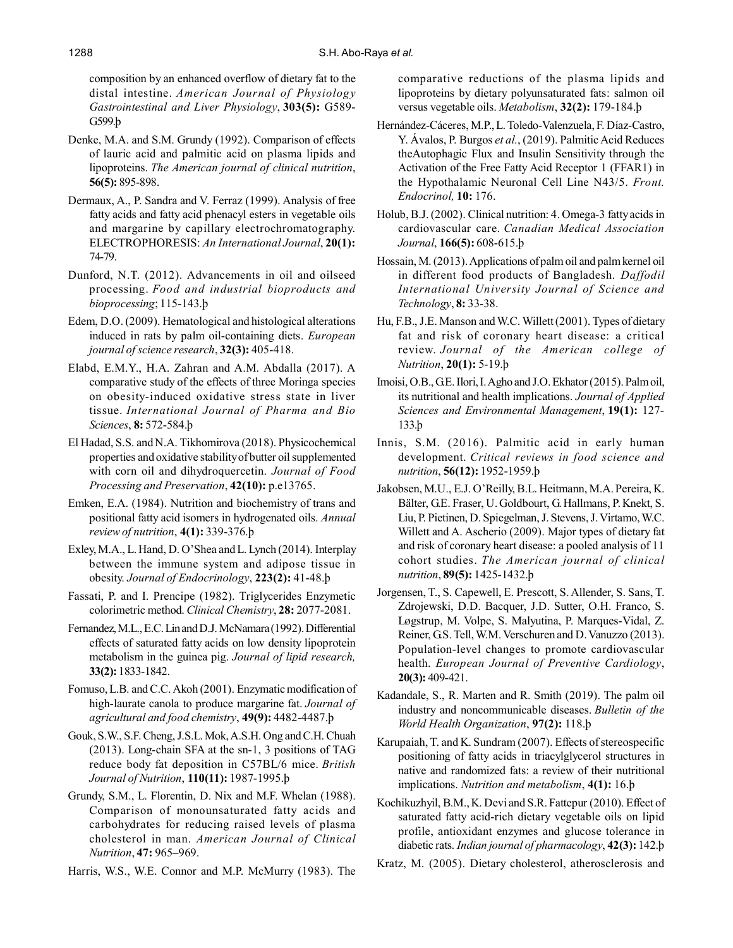composition by an enhanced overflow of dietary fat to the distal intestine. *American Journal of Physiology Gastrointestinal and Liver Physiology*, **303(5):** G589- G599.þ

- Denke, M.A. and S.M. Grundy (1992). Comparison of effects of lauric acid and palmitic acid on plasma lipids and lipoproteins. *The American journal of clinical nutrition*, **56(5):** 895-898.
- Dermaux, A., P. Sandra and V. Ferraz (1999). Analysis of free fatty acids and fatty acid phenacyl esters in vegetable oils and margarine by capillary electrochromatography. ELECTROPHORESIS: *An International Journal*, **20(1):** 74-79.
- Dunford, N.T. (2012). Advancements in oil and oilseed processing. *Food and industrial bioproducts and bioprocessing*; 115-143.þ
- Edem, D.O. (2009). Hematological and histological alterations induced in rats by palm oil-containing diets. *European journal of science research*, **32(3):** 405-418.
- Elabd, E.M.Y., H.A. Zahran and A.M. Abdalla (2017). A comparative study of the effects of three Moringa species on obesity-induced oxidative stress state in liver tissue. *International Journal of Pharma and Bio Sciences*, **8:** 572-584.þ
- El Hadad, S.S. and N.A. Tikhomirova (2018). Physicochemical properties and oxidative stability of butter oil supplemented with corn oil and dihydroquercetin. *Journal of Food Processing and Preservation*, **42(10):** p.e13765.
- Emken, E.A. (1984). Nutrition and biochemistry of trans and positional fatty acid isomers in hydrogenated oils. *Annual review of nutrition*, **4(1):** 339-376.þ
- Exley, M.A., L. Hand, D. O'Shea and L. Lynch (2014). Interplay between the immune system and adipose tissue in obesity. *Journal of Endocrinology*, **223(2):** 41-48.þ
- Fassati, P. and I. Prencipe (1982). Triglycerides Enzymetic colorimetric method. *Clinical Chemistry*, **28:** 2077-2081.
- Fernandez, M.L., E.C. Lin and D.J. McNamara (1992). Differential effects of saturated fatty acids on low density lipoprotein metabolism in the guinea pig. *Journal of lipid research,* **33(2):** 1833-1842.
- Fomuso, L.B. and C.C. Akoh (2001). Enzymatic modification of high-laurate canola to produce margarine fat. *Journal of agricultural and food chemistry*, **49(9):** 4482-4487.þ
- Gouk, S.W., S.F. Cheng, J.S.L. Mok, A.S.H. Ong and C.H. Chuah (2013). Long-chain SFA at the sn-1, 3 positions of TAG reduce body fat deposition in C57BL/6 mice. *British Journal of Nutrition*, **110(11):** 1987-1995.þ
- Grundy, S.M., L. Florentin, D. Nix and M.F. Whelan (1988). Comparison of monounsaturated fatty acids and carbohydrates for reducing raised levels of plasma cholesterol in man. *American Journal of Clinical Nutrition*, **47:** 965–969.
- Harris, W.S., W.E. Connor and M.P. McMurry (1983). The

comparative reductions of the plasma lipids and lipoproteins by dietary polyunsaturated fats: salmon oil versus vegetable oils. *Metabolism*, **32(2):** 179-184.þ

- Hernández-Cáceres, M.P., L. Toledo-Valenzuela, F. Díaz-Castro, Y. Ávalos, P. Burgos *et al.*, (2019). Palmitic Acid Reduces theAutophagic Flux and Insulin Sensitivity through the Activation of the Free Fatty Acid Receptor 1 (FFAR1) in the Hypothalamic Neuronal Cell Line N43/5. *Front. Endocrinol,* **10:** 176.
- Holub, B.J. (2002). Clinical nutrition: 4. Omega-3 fatty acids in cardiovascular care. *Canadian Medical Association Journal*, **166(5):** 608-615.þ
- Hossain, M. (2013). Applications of palm oil and palm kernel oil in different food products of Bangladesh. *Daffodil International University Journal of Science and Technology*, **8:** 33-38.
- Hu, F.B., J.E. Manson and W.C. Willett (2001). Types of dietary fat and risk of coronary heart disease: a critical review. *Journal of the American college of Nutrition*, **20(1):** 5-19.þ
- Imoisi, O.B., G.E. Ilori, I. Agho and J.O. Ekhator (2015). Palm oil, its nutritional and health implications. *Journal of Applied Sciences and Environmental Management*, **19(1):** 127- 133.þ
- Innis, S.M. (2016). Palmitic acid in early human development. *Critical reviews in food science and nutrition*, **56(12):** 1952-1959.þ
- Jakobsen, M.U., E.J. O'Reilly, B.L. Heitmann, M.A. Pereira, K. Bälter, G.E. Fraser, U. Goldbourt, G. Hallmans, P. Knekt, S. Liu, P. Pietinen, D. Spiegelman, J. Stevens, J. Virtamo, W.C. Willett and A. Ascherio (2009). Major types of dietary fat and risk of coronary heart disease: a pooled analysis of 11 cohort studies. *The American journal of clinical nutrition*, **89(5):** 1425-1432.þ
- Jorgensen, T., S. Capewell, E. Prescott, S. Allender, S. Sans, T. Zdrojewski, D.D. Bacquer, J.D. Sutter, O.H. Franco, S. Løgstrup, M. Volpe, S. Malyutina, P. Marques-Vidal, Z. Reiner, G.S. Tell, W.M. Verschuren and D. Vanuzzo (2013). Population-level changes to promote cardiovascular health. *European Journal of Preventive Cardiology*, **20(3):** 409-421.
- Kadandale, S., R. Marten and R. Smith (2019). The palm oil industry and noncommunicable diseases. *Bulletin of the World Health Organization*, **97(2):** 118.þ
- Karupaiah, T. and K. Sundram (2007). Effects of stereospecific positioning of fatty acids in triacylglycerol structures in native and randomized fats: a review of their nutritional implications. *Nutrition and metabolism*, **4(1):** 16.þ
- Kochikuzhyil, B.M., K. Devi and S.R. Fattepur (2010). Effect of saturated fatty acid-rich dietary vegetable oils on lipid profile, antioxidant enzymes and glucose tolerance in diabetic rats. *Indian journal of pharmacology*, **42(3):** 142.þ
- Kratz, M. (2005). Dietary cholesterol, atherosclerosis and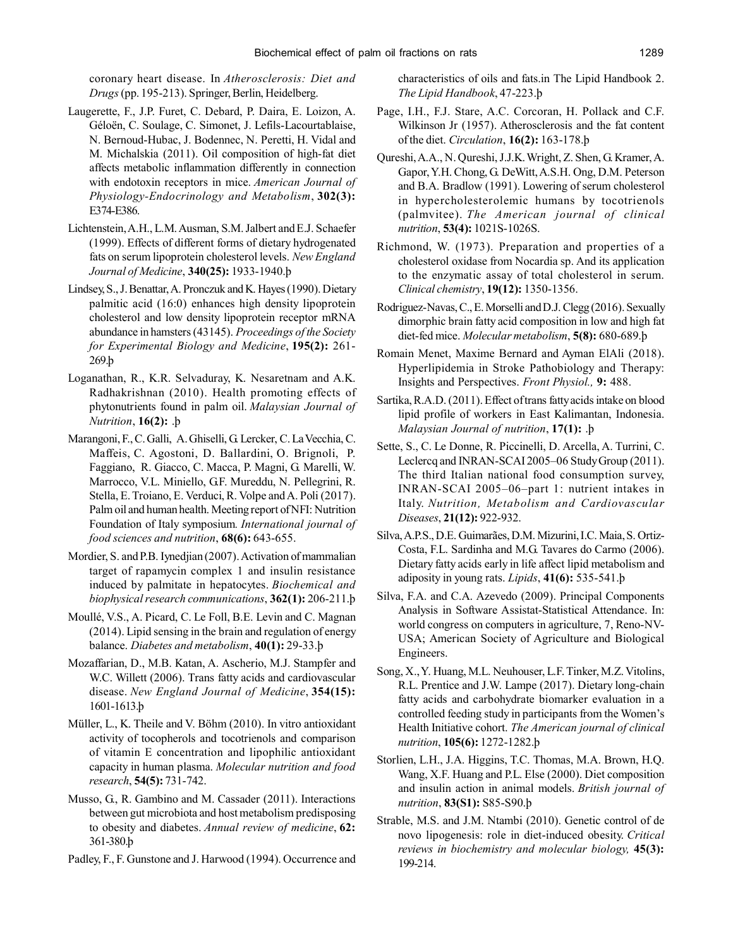coronary heart disease. In *Atherosclerosis: Diet and Drugs* (pp. 195-213). Springer, Berlin, Heidelberg.

- Laugerette, F., J.P. Furet, C. Debard, P. Daira, E. Loizon, A. Géloën, C. Soulage, C. Simonet, J. Lefils-Lacourtablaise, N. Bernoud-Hubac, J. Bodennec, N. Peretti, H. Vidal and M. Michalskia (2011). Oil composition of high-fat diet affects metabolic inflammation differently in connection with endotoxin receptors in mice. *American Journal of Physiology-Endocrinology and Metabolism*, **302(3):** E374-E386.
- Lichtenstein, A.H., L.M. Ausman, S.M. Jalbert and E.J. Schaefer (1999). Effects of different forms of dietary hydrogenated fats on serum lipoprotein cholesterol levels. *New England Journal of Medicine*, **340(25):** 1933-1940.þ
- Lindsey, S., J. Benattar, A. Pronczuk and K. Hayes (1990). Dietary palmitic acid (16:0) enhances high density lipoprotein cholesterol and low density lipoprotein receptor mRNA abundance in hamsters (43145). *Proceedings of the Society for Experimental Biology and Medicine*, **195(2):** 261- 269.þ
- Loganathan, R., K.R. Selvaduray, K. Nesaretnam and A.K. Radhakrishnan (2010). Health promoting effects of phytonutrients found in palm oil. *Malaysian Journal of Nutrition*, **16(2):** .þ
- Marangoni,F., C. Galli, A. Ghiselli, G. Lercker, C. La Vecchia, C. Maffeis, C. Agostoni, D. Ballardini, O. Brignoli, P. Faggiano, R. Giacco, C. Macca, P. Magni, G. Marelli, W. Marrocco, V.L. Miniello, G.F. Mureddu, N. Pellegrini, R. Stella, E. Troiano, E. Verduci, R. Volpe and A. Poli (2017). Palm oil and human health. Meeting report of NFI: Nutrition Foundation of Italy symposium*. International journal of food sciences and nutrition*, **68(6):** 643-655.
- Mordier, S. and P.B. Iynedjian (2007). Activation of mammalian target of rapamycin complex 1 and insulin resistance induced by palmitate in hepatocytes. *Biochemical and biophysical research communications*, **362(1):** 206-211.þ
- Moullé, V.S., A. Picard, C. Le Foll, B.E. Levin and C. Magnan (2014). Lipid sensing in the brain and regulation of energy balance. *Diabetes and metabolism*, **40(1):** 29-33.þ
- Mozaffarian, D., M.B. Katan, A. Ascherio, M.J. Stampfer and W.C. Willett (2006). Trans fatty acids and cardiovascular disease. *New England Journal of Medicine*, **354(15):** 1601-1613.þ
- Müller, L., K. Theile and V. Böhm (2010). In vitro antioxidant activity of tocopherols and tocotrienols and comparison of vitamin E concentration and lipophilic antioxidant capacity in human plasma. *Molecular nutrition and food research*, **54(5):** 731-742.
- Musso, G., R. Gambino and M. Cassader (2011). Interactions between gut microbiota and host metabolism predisposing to obesity and diabetes. *Annual review of medicine*, **62:** 361-380.þ
- Padley, F., F. Gunstone and J. Harwood (1994). Occurrence and

characteristics of oils and fats.in The Lipid Handbook 2. *The Lipid Handbook*, 47-223.þ

- Page, I.H., F.J. Stare, A.C. Corcoran, H. Pollack and C.F. Wilkinson Jr (1957). Atherosclerosis and the fat content of the diet. *Circulation*, **16(2):** 163-178.þ
- Qureshi, A.A., N. Qureshi, J.J.K. Wright, Z. Shen, G. Kramer, A. Gapor, Y.H. Chong, G. DeWitt, A.S.H. Ong, D.M. Peterson and B.A. Bradlow (1991). Lowering of serum cholesterol in hypercholesterolemic humans by tocotrienols (palmvitee). *The American journal of clinical nutrition*, **53(4):** 1021S-1026S.
- Richmond, W. (1973). Preparation and properties of a cholesterol oxidase from Nocardia sp. And its application to the enzymatic assay of total cholesterol in serum. *Clinical chemistry*, **19(12):** 1350-1356.
- Rodriguez-Navas, C., E. Morselli and D.J. Clegg (2016). Sexually dimorphic brain fatty acid composition in low and high fat diet-fed mice. *Molecular metabolism*, **5(8):** 680-689.þ
- Romain Menet, Maxime Bernard and Ayman ElAli (2018). Hyperlipidemia in Stroke Pathobiology and Therapy: Insights and Perspectives. *Front Physiol.,* **9:** 488.
- Sartika, R.A.D. (2011). Effect of trans fatty acids intake on blood lipid profile of workers in East Kalimantan, Indonesia. *Malaysian Journal of nutrition*, **17(1):** .þ
- Sette, S., C. Le Donne, R. Piccinelli, D. Arcella, A. Turrini, C. Leclercq and INRAN-SCAI 2005–06 Study Group (2011). The third Italian national food consumption survey, INRAN-SCAI 2005–06–part 1: nutrient intakes in Italy. *Nutrition, Metabolism and Cardiovascular Diseases*, **21(12):** 922-932.
- Silva, A.P.S., D.E. Guimarães, D.M. Mizurini, I.C. Maia, S. Ortiz-Costa, F.L. Sardinha and M.G. Tavares do Carmo (2006). Dietary fatty acids early in life affect lipid metabolism and adiposity in young rats. *Lipids*, **41(6):** 535-541.þ
- Silva, F.A. and C.A. Azevedo (2009). Principal Components Analysis in Software Assistat-Statistical Attendance. In: world congress on computers in agriculture, 7, Reno-NV-USA; American Society of Agriculture and Biological Engineers.
- Song, X., Y. Huang, M.L. Neuhouser, L.F. Tinker, M.Z. Vitolins, R.L. Prentice and J.W. Lampe (2017). Dietary long-chain fatty acids and carbohydrate biomarker evaluation in a controlled feeding study in participants from the Women's Health Initiative cohort. *The American journal of clinical nutrition*, **105(6):** 1272-1282.þ
- Storlien, L.H., J.A. Higgins, T.C. Thomas, M.A. Brown, H.Q. Wang, X.F. Huang and P.L. Else (2000). Diet composition and insulin action in animal models. *British journal of nutrition*, **83(S1):** S85-S90.þ
- Strable, M.S. and J.M. Ntambi (2010). Genetic control of de novo lipogenesis: role in diet-induced obesity. *Critical reviews in biochemistry and molecular biology,* **45(3):** 199-214.